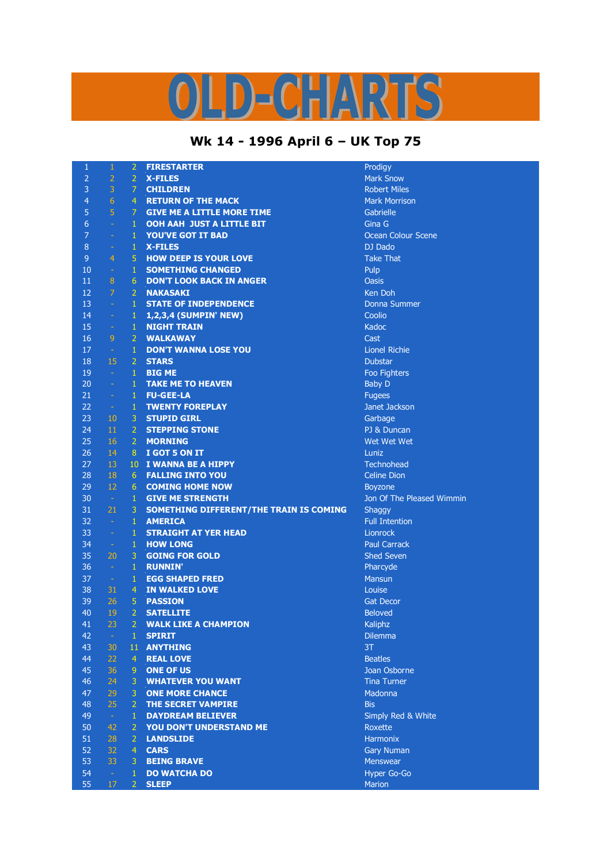## D-CHARTS

## **Wk 14 - 1996 April 6 – UK Top 75**

| $\mathbf{1}$   | $\mathbf{1}$   | $\overline{2}$  | <b>FIRESTARTER</b>                      | Prodigy                   |
|----------------|----------------|-----------------|-----------------------------------------|---------------------------|
| $\overline{2}$ | $\overline{2}$ | $\overline{2}$  | <b>X-FILES</b>                          | <b>Mark Snow</b>          |
| 3              | 3              | 7 <sup>1</sup>  | <b>CHILDREN</b>                         | <b>Robert Miles</b>       |
| $\overline{4}$ | $6\phantom{1}$ | $\overline{4}$  | <b>RETURN OF THE MACK</b>               | <b>Mark Morrison</b>      |
| 5              | 5              | 7 <sup>1</sup>  | <b>GIVE ME A LITTLE MORE TIME</b>       | Gabrielle                 |
| 6              | $\omega$       | $\mathbf{1}$    | <b>OOH AAH JUST A LITTLE BIT</b>        | Gina G                    |
| $\overline{7}$ | $\blacksquare$ | $\mathbf{1}$    | <b>YOU'VE GOT IT BAD</b>                | Ocean Colour Scene        |
| $\bf 8$        | $\equiv$       | $\mathbf{1}$    | <b>X-FILES</b>                          | DJ Dado                   |
| $\overline{9}$ | $\overline{4}$ | 5               | <b>HOW DEEP IS YOUR LOVE</b>            | <b>Take That</b>          |
| 10             | $\pm$          | $\mathbf{1}$    | <b>SOMETHING CHANGED</b>                | Pulp                      |
| 11             | 8              | 6               | <b>DON'T LOOK BACK IN ANGER</b>         | <b>Oasis</b>              |
| 12             | $\overline{7}$ | $\mathbf{2}$    | <b>NAKASAKI</b>                         | Ken Doh                   |
| 13             | $\omega$       | $\mathbf{1}$    | <b>STATE OF INDEPENDENCE</b>            | Donna Summer              |
| 14             | $\omega$       | 1               | 1,2,3,4 (SUMPIN' NEW)                   | Coolio                    |
| 15             | $\omega$       | $\mathbf{1}$    | <b>NIGHT TRAIN</b>                      | Kadoc                     |
| 16             | 9              | $\overline{2}$  | <b>WALKAWAY</b>                         | Cast                      |
| 17             | $\pm$          | $\mathbf{1}$    | <b>DON'T WANNA LOSE YOU</b>             | Lionel Richie             |
| 18             | 15             | 2 <sup>1</sup>  | <b>STARS</b>                            | <b>Dubstar</b>            |
| 19             | $\omega$       | $\mathbf{1}$    | <b>BIG ME</b>                           | Foo Fighters              |
| 20             | $\omega$       | $\mathbf{1}$    | <b>TAKE ME TO HEAVEN</b>                | <b>Baby D</b>             |
| 21             | $\omega$       | $\mathbf{1}$    | <b>FU-GEE-LA</b>                        | <b>Fugees</b>             |
| 22             | $\sim$ $-$     | $\mathbf{1}$    | <b>TWENTY FOREPLAY</b>                  | Janet Jackson             |
| 23             | 10             | 3               | <b>STUPID GIRL</b>                      | Garbage                   |
| 24             | 11             | $\overline{2}$  | <b>STEPPING STONE</b>                   | PJ & Duncan               |
| 25             | 16             | 2 <sup>1</sup>  | <b>MORNING</b>                          | Wet Wet Wet               |
| 26             | 14             | 8               | I GOT 5 ON IT                           | Luniz                     |
| 27             | 13             | 10 <sup>°</sup> | I WANNA BE A HIPPY                      | <b>Technohead</b>         |
| 28             | 18             | 6               | <b>FALLING INTO YOU</b>                 | <b>Celine Dion</b>        |
| 29             | 12             | 6               | <b>COMING HOME NOW</b>                  | <b>Boyzone</b>            |
| 30             | $\sim$         | $\mathbf{1}$    | <b>GIVE ME STRENGTH</b>                 | Jon Of The Pleased Wimmin |
| 31             | 21             | 3               | SOMETHING DIFFERENT/THE TRAIN IS COMING | Shaggy                    |
| 32             | $\sim$         | $\mathbf{1}$    | <b>AMERICA</b>                          | <b>Full Intention</b>     |
| 33             | $\omega$       | $\mathbf{1}$    | <b>STRAIGHT AT YER HEAD</b>             | Lionrock                  |
| 34             | $\sim$         | $\mathbf{1}$    | <b>HOW LONG</b>                         | <b>Paul Carrack</b>       |
| 35             | 20             | 3               | <b>GOING FOR GOLD</b>                   | <b>Shed Seven</b>         |
| 36             | $\sim$         | $\mathbf{1}$    | <b>RUNNIN'</b>                          | Pharcyde                  |
| 37             | $\sim$         | $\mathbf{1}$    | <b>EGG SHAPED FRED</b>                  | <b>Mansun</b>             |
| 38             | 31             | $\overline{4}$  | <b>IN WALKED LOVE</b>                   | Louise                    |
| 39             | 26             | $\overline{5}$  | <b>PASSION</b>                          | <b>Gat Decor</b>          |
| 40             | 19             | 2 <sup>1</sup>  | <b>SATELLITE</b>                        | <b>Beloved</b>            |
| 41             | 23             | $\overline{2}$  | <b>WALK LIKE A CHAMPION</b>             | Kaliphz                   |
| 42             | $\equiv$       | $\mathbf{1}$    | <b>SPIRIT</b>                           | <b>Dilemma</b>            |
| 43             | 30             | 11              | <b>ANYTHING</b>                         | 3T                        |
| 44             | 22             | $\overline{4}$  | <b>REAL LOVE</b>                        | <b>Beatles</b>            |
| 45             | 36             | $\overline{9}$  | <b>ONE OF US</b>                        | Joan Osborne              |
| 46             | 24             | 3               | <b>WHATEVER YOU WANT</b>                | <b>Tina Turner</b>        |
| 47             | 29             | 3               | <b>ONE MORE CHANCE</b>                  | Madonna                   |
| 48             | 25             | 2 <sup>1</sup>  | THE SECRET VAMPIRE                      | <b>Bis</b>                |
| 49             | $\sim$         | $\mathbf{1}$    | <b>DAYDREAM BELIEVER</b>                | Simply Red & White        |
| 50             | 42             | $\overline{2}$  | YOU DON'T UNDERSTAND ME                 | Roxette                   |
| 51             | 28             | $\overline{2}$  | <b>LANDSLIDE</b>                        | <b>Harmonix</b>           |
| 52             | 32             | $\overline{4}$  | <b>CARS</b>                             | <b>Gary Numan</b>         |
| 53             | 33             | 3               | <b>BEING BRAVE</b>                      | Menswear                  |
| 54             | $\pm$          | $\mathbf{1}$    | <b>DO WATCHA DO</b>                     | Hyper Go-Go               |
| 55             | 17             | $2 -$           | <b>SLEEP</b>                            | Marion                    |
|                |                |                 |                                         |                           |